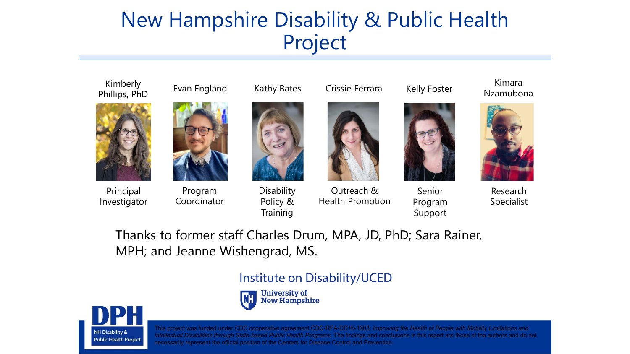### New Hampshire Disability & Public Health Project



### Evan England



Principal Investigator

**NH Disability & Public Health Project** 



Program Coordinator



Kathy Bates

**Disability** Policy & **Training** 



Crissie Ferrara

Outreach &

Health Promotion



Kelly Foster

Senior Program Support

Kimara Nzamubona



Research Specialist

Thanks to former staff Charles Drum, MPA, JD, PhD; Sara Rainer, MPH; and Jeanne Wishengrad, MS.

### Institute on Disability/UCED



**University of IN:L New Hampshire**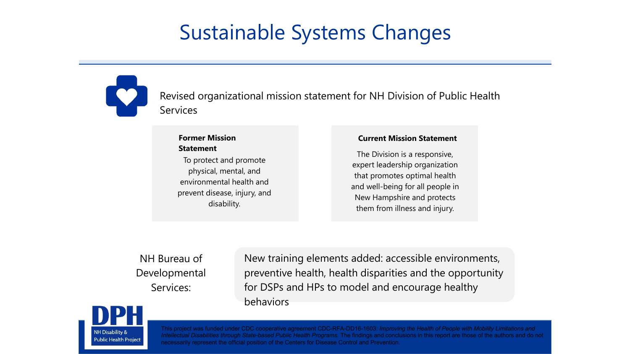## Sustainable Systems Changes



Revised organizational mission statement for NH Division of Public Health Services

#### **Former Mission Statement**

To protect and promote physical, mental, and environmental health and prevent disease, injury, and disability.

#### **Current Mission Statement**

The Division is a responsive, expert leadership organization that promotes optimal health and well-being for all people in New Hampshire and protects them from illness and injury.

NH Bureau of Developmental Services:

New training elements added: accessible environments, preventive health, health disparities and the opportunity for DSPs and HPs to model and encourage healthy behaviors

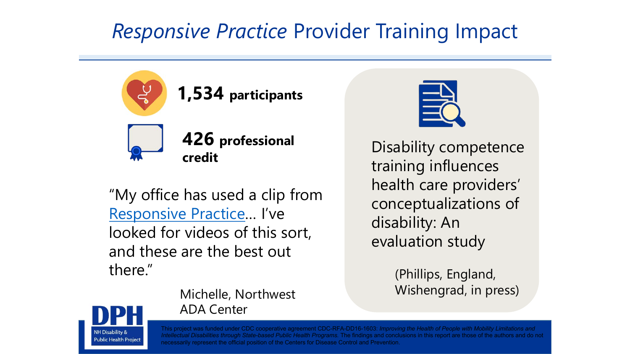## *Responsive Practice* Provider Training Impact



**426 professional credit**

"My office has used a clip from [Responsive Practice…](https://iod.unh.edu/projects/new-hampshire-disability-public-health-project/responsive-practice-healthcare-providers) I've looked for videos of this sort, and these are the best out there."

ADA Center

Michelle, Northwest



Disability competence training influences health care providers' conceptualizations of disability: An evaluation study

> (Phillips, England, Wishengrad, in press)

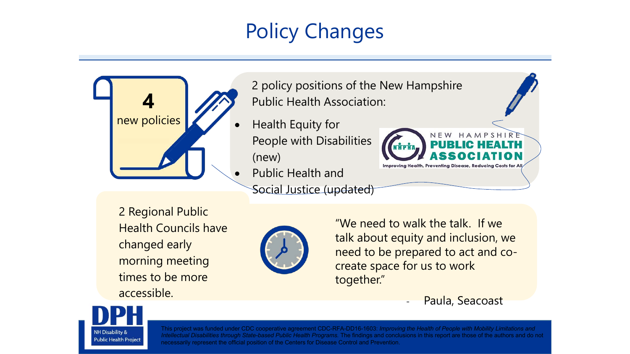# Policy Changes



2 policy positions of the New Hampshire **4** Public Health Association:

- People with Disabilities (new)
	- Public Health and Social Justice (updated)

2 Regional Public Health Councils have changed early morning meeting times to be more accessible.



"We need to walk the talk. If we talk about equity and inclusion, we need to be prepared to act and cocreate space for us to work together."

Paula, Seacoast

NEW HAMPSHIRE

Improving Health, Preventing Disease, Reducing Costs for Al